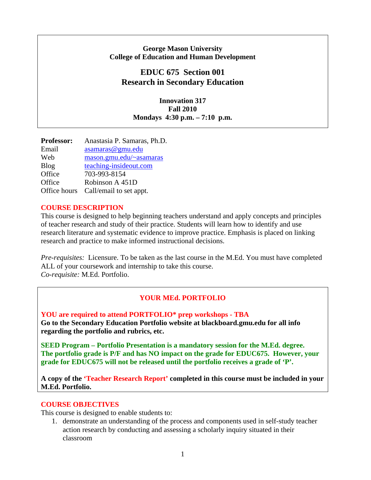### **George Mason University College of Education and Human Development**

## **EDUC 675 Section 001 Research in Secondary Education**

**Innovation 317 Fall 2010 Mondays 4:30 p.m. – 7:10 p.m.** 

| <b>Professor:</b> | Anastasia P. Samaras, Ph.D. |
|-------------------|-----------------------------|
| Email             | asamaras@gmu.edu            |
| Web               | mason.gmu.edu/~asamaras     |
| <b>Blog</b>       | teaching-insideout.com      |
| Office            | 703-993-8154                |
| Office            | Robinson A 451D             |
| Office hours      | Call/email to set appt.     |

### **COURSE DESCRIPTION**

This course is designed to help beginning teachers understand and apply concepts and principles of teacher research and study of their practice. Students will learn how to identify and use research literature and systematic evidence to improve practice. Emphasis is placed on linking research and practice to make informed instructional decisions.

*Pre-requisites:* Licensure. To be taken as the last course in the M.Ed. You must have completed ALL of your coursework and internship to take this course. *Co-requisite:* M.Ed. Portfolio.

## **YOUR MEd. PORTFOLIO**

**YOU are required to attend PORTFOLIO\* prep workshops - TBA Go to the Secondary Education Portfolio website at blackboard.gmu.edu for all info regarding the portfolio and rubrics, etc.** 

**SEED Program – Portfolio Presentation is a mandatory session for the M.Ed. degree. The portfolio grade is P/F and has NO impact on the grade for EDUC675. However, your grade for EDUC675 will not be released until the portfolio receives a grade of 'P'.**

**A copy of the 'Teacher Research Report' completed in this course must be included in your M.Ed. Portfolio.** 

### **COURSE OBJECTIVES**

This course is designed to enable students to:

1. demonstrate an understanding of the process and components used in self-study teacher action research by conducting and assessing a scholarly inquiry situated in their classroom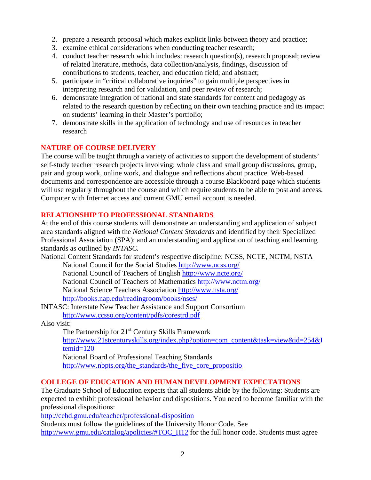- 2. prepare a research proposal which makes explicit links between theory and practice;
- 3. examine ethical considerations when conducting teacher research;
- 4. conduct teacher research which includes: research question(s), research proposal; review of related literature, methods, data collection/analysis, findings, discussion of contributions to students, teacher, and education field; and abstract;
- 5. participate in "critical collaborative inquiries" to gain multiple perspectives in interpreting research and for validation, and peer review of research;
- 6. demonstrate integration of national and state standards for content and pedagogy as related to the research question by reflecting on their own teaching practice and its impact on students' learning in their Master's portfolio;
- 7. demonstrate skills in the application of technology and use of resources in teacher research

## **NATURE OF COURSE DELIVERY**

The course will be taught through a variety of activities to support the development of students' self-study teacher research projects involving: whole class and small group discussions, group, pair and group work, online work, and dialogue and reflections about practice. Web-based documents and correspondence are accessible through a course Blackboard page which students will use regularly throughout the course and which require students to be able to post and access. Computer with Internet access and current GMU email account is needed.

### **RELATIONSHIP TO PROFESSIONAL STANDARDS**

At the end of this course students will demonstrate an understanding and application of subject area standards aligned with the *National Content Standards* and identified by their Specialized Professional Association (SPA); and an understanding and application of teaching and learning standards as outlined by *INTASC.* 

National Content Standards for student's respective discipline: NCSS, NCTE, NCTM, NSTA National Council for the Social Studies http://www.ncss.org/

 National Council of Teachers of English http://www.ncte.org/ National Council of Teachers of Mathematics http://www.nctm.org/ National Science Teachers Association http://www.nsta.org/ http://books.nap.edu/readingroom/books/nses/

INTASC: Interstate New Teacher Assistance and Support Consortium http://www.ccsso.org/content/pdfs/corestrd.pdf

Also visit:

The Partnership for  $21<sup>st</sup>$  Century Skills Framework http://www.21stcenturyskills.org/index.php?option=com\_content&task=view&id=254&I temid=120

National Board of Professional Teaching Standards http://www.nbpts.org/the\_standards/the\_five\_core\_propositio

## **COLLEGE OF EDUCATION AND HUMAN DEVELOPMENT EXPECTATIONS**

The Graduate School of Education expects that all students abide by the following: Students are expected to exhibit professional behavior and dispositions. You need to become familiar with the professional dispositions:

http://cehd.gmu.edu/teacher/professional-disposition

Students must follow the guidelines of the University Honor Code. See http://www.gmu.edu/catalog/apolicies/#TOC\_H12 for the full honor code. Students must agree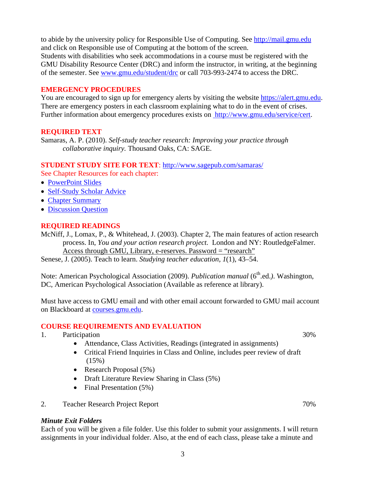to abide by the university policy for Responsible Use of Computing. See http://mail.gmu.edu and click on Responsible use of Computing at the bottom of the screen. Students with disabilities who seek accommodations in a course must be registered with the GMU Disability Resource Center (DRC) and inform the instructor, in writing, at the beginning of the semester. See www.gmu.edu/student/drc or call 703-993-2474 to access the DRC.

#### **EMERGENCY PROCEDURES**

You are encouraged to sign up for emergency alerts by visiting the website https://alert.gmu.edu. There are emergency posters in each classroom explaining what to do in the event of crises. Further information about emergency procedures exists on http://www.gmu.edu/service/cert.

### **REQUIRED TEXT**

Samaras, A. P. (2010). *Self-study teacher research: Improving your practice through collaborative inquiry.* Thousand Oaks, CA: SAGE.

### **STUDENT STUDY SITE FOR TEXT**: http://www.sagepub.com/samaras/

See Chapter Resources for each chapter:

- PowerPoint Slides
- Self-Study Scholar Advice
- Chapter Summary
- Discussion Question

### **REQUIRED READINGS**

McNiff, J., Lomax, P., & Whitehead, J. (2003). Chapter 2, The main features of action research process. In, *You and your action research project.* London and NY: RoutledgeFalmer. Access through GMU, Library, e-reserves. Password = "research"

Senese, J. (2005). Teach to learn. *Studying teacher education, 1*(1), 43–54.

Note: American Psychological Association (2009). *Publication manual* (6<sup>th</sup>.ed.). Washington, DC, American Psychological Association (Available as reference at library).

Must have access to GMU email and with other email account forwarded to GMU mail account on Blackboard at courses.gmu.edu.

#### **COURSE REQUIREMENTS AND EVALUATION**

- 1. Participation 30%
	- Attendance, Class Activities, Readings (integrated in assignments)
	- Critical Friend Inquiries in Class and Online, includes peer review of draft  $(15%)$
	- Research Proposal (5%)
	- Draft Literature Review Sharing in Class (5%)
	- Final Presentation (5%)
- 2. Teacher Research Project Report 70%

#### *Minute Exit Folders*

Each of you will be given a file folder. Use this folder to submit your assignments. I will return assignments in your individual folder. Also, at the end of each class, please take a minute and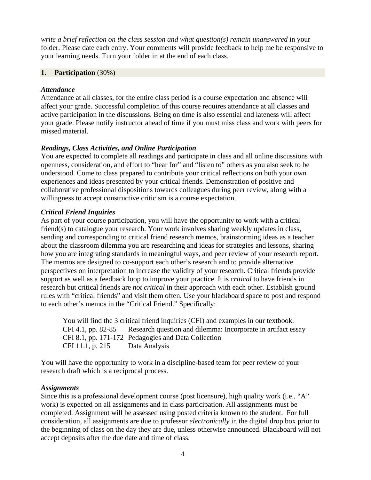*write a brief reflection on the class session and what question(s) remain unanswered* in your folder. Please date each entry. Your comments will provide feedback to help me be responsive to your learning needs. Turn your folder in at the end of each class.

### **1. Participation** (30%)

### *Attendance*

Attendance at all classes, for the entire class period is a course expectation and absence will affect your grade. Successful completion of this course requires attendance at all classes and active participation in the discussions. Being on time is also essential and lateness will affect your grade. Please notify instructor ahead of time if you must miss class and work with peers for missed material.

### *Readings, Class Activities, and Online Participation*

You are expected to complete all readings and participate in class and all online discussions with openness, consideration, and effort to "hear for" and "listen to" others as you also seek to be understood. Come to class prepared to contribute your critical reflections on both your own experiences and ideas presented by your critical friends. Demonstration of positive and collaborative professional dispositions towards colleagues during peer review, along with a willingness to accept constructive criticism is a course expectation.

### *Critical Friend Inquiries*

As part of your course participation, you will have the opportunity to work with a critical friend(s) to catalogue your research. Your work involves sharing weekly updates in class, sending and corresponding to critical friend research memos, brainstorming ideas as a teacher about the classroom dilemma you are researching and ideas for strategies and lessons, sharing how you are integrating standards in meaningful ways, and peer review of your research report. The memos are designed to co-support each other's research and to provide alternative perspectives on interpretation to increase the validity of your research. Critical friends provide support as well as a feedback loop to improve your practice. It is *critical* to have friends in research but critical friends are *not critical* in their approach with each other. Establish ground rules with "critical friends" and visit them often. Use your blackboard space to post and respond to each other's memos in the "Critical Friend." Specifically:

 You will find the 3 critical friend inquiries (CFI) and examples in our textbook. CFI 4.1, pp. 82-85 Research question and dilemma: Incorporate in artifact essay CFI 8.1, pp. 171-172 Pedagogies and Data Collection CFI 11.1, p. 215 Data Analysis

You will have the opportunity to work in a discipline-based team for peer review of your research draft which is a reciprocal process.

### *Assignments*

Since this is a professional development course (post licensure), high quality work (i.e., "A" work) is expected on all assignments and in class participation. All assignments must be completed. Assignment will be assessed using posted criteria known to the student. For full consideration, all assignments are due to professor *electronically* in the digital drop box prior to the beginning of class on the day they are due, unless otherwise announced. Blackboard will not accept deposits after the due date and time of class.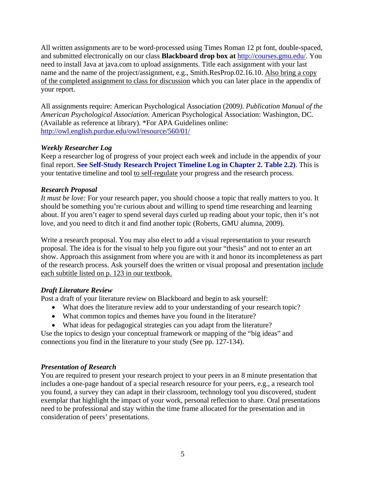All written assignments are to be word-processed using Times Roman 12 pt font, double-spaced, and submitted electronically on our class **Blackboard drop box at** http://courses.gmu.edu/. You need to install Java at java.com to upload assignments. Title each assignment with your last name and the name of the project/assignment, e.g., Smith.ResProp.02.16.10. Also bring a copy of the completed assignment to class for discussion which you can later place in the appendix of your report.

All assignments require: American Psychological Association (2009*). Publication Manual of the American Psychological Association*. American Psychological Association: Washington, DC. (Available as reference at library). \*For APA Guidelines online: http://owl.english.purdue.edu/owl/resource/560/01/

### *Weekly Researcher Log*

Keep a researcher log of progress of your project each week and include in the appendix of your final report. **See Self-Study Research Project Timeline Log in Chapter 2. Table 2.2)**. This is your tentative timeline and tool to self-regulate your progress and the research process.

### *Research Proposal*

*It must be love:* For your research paper, you should choose a topic that really matters to you. It should be something you're curious about and willing to spend time researching and learning about. If you aren't eager to spend several days curled up reading about your topic, then it's not love, and you need to ditch it and find another topic (Roberts, GMU alumna, 2009).

Write a research proposal. You may also elect to add a visual representation to your research proposal. The idea is for the visual to help you figure out your "thesis" and not to enter an art show. Approach this assignment from where you are with it and honor its incompleteness as part of the research process. Ask yourself does the written or visual proposal and presentation include each subtitle listed on p. 123 in our textbook.

### *Draft Literature Review*

Post a draft of your literature review on Blackboard and begin to ask yourself:

- What does the literature review add to your understanding of your research topic?
- What common topics and themes have you found in the literature?
- What ideas for pedagogical strategies can you adapt from the literature?

Use the topics to design your conceptual framework or mapping of the "big ideas" and connections you find in the literature to your study (See pp. 127-134).

## *Presentation of Research*

You are required to present your research project to your peers in an 8 minute presentation that includes a one-page handout of a special research resource for your peers, e.g., a research tool you found, a survey they can adapt in their classroom, technology tool you discovered, student exemplar that highlight the impact of your work, personal reflection to share. Oral presentations need to be professional and stay within the time frame allocated for the presentation and in consideration of peers' presentations.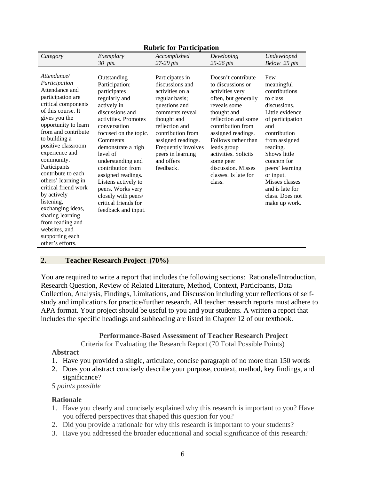| Category                                                                                                                                                                                                                                                                                                                                                                                                                                                                                       | Exemplary                                                                                                                                                                                                                                                                                                                                                                                         | Accomplished                                                                                                                                                                                                                                                   | Developing                                                                                                                                                                                                                                                                                                             | Undeveloped                                                                                                                                                                                                                                                                                       |
|------------------------------------------------------------------------------------------------------------------------------------------------------------------------------------------------------------------------------------------------------------------------------------------------------------------------------------------------------------------------------------------------------------------------------------------------------------------------------------------------|---------------------------------------------------------------------------------------------------------------------------------------------------------------------------------------------------------------------------------------------------------------------------------------------------------------------------------------------------------------------------------------------------|----------------------------------------------------------------------------------------------------------------------------------------------------------------------------------------------------------------------------------------------------------------|------------------------------------------------------------------------------------------------------------------------------------------------------------------------------------------------------------------------------------------------------------------------------------------------------------------------|---------------------------------------------------------------------------------------------------------------------------------------------------------------------------------------------------------------------------------------------------------------------------------------------------|
|                                                                                                                                                                                                                                                                                                                                                                                                                                                                                                | 30 pts.                                                                                                                                                                                                                                                                                                                                                                                           | $27-29$ pts                                                                                                                                                                                                                                                    | $25-26$ pts                                                                                                                                                                                                                                                                                                            | Below 25 pts                                                                                                                                                                                                                                                                                      |
| Attendance/<br>Participation<br>Attendance and<br>participation are<br>critical components<br>of this course. It<br>gives you the<br>opportunity to learn<br>from and contribute<br>to building a<br>positive classroom<br>experience and<br>community.<br>Participants<br>contribute to each<br>others' learning in<br>critical friend work<br>by actively<br>listening.<br>exchanging ideas,<br>sharing learning<br>from reading and<br>websites, and<br>supporting each<br>other's efforts. | Outstanding<br>Participation;<br>participates<br>regularly and<br>actively in<br>discussions and<br>activities. Promotes<br>conversation<br>focused on the topic.<br>Comments<br>demonstrate a high<br>level of<br>understanding and<br>contribution from<br>assigned readings.<br>Listens actively to<br>peers. Works very<br>closely with peers/<br>critical friends for<br>feedback and input. | Participates in<br>discussions and<br>activities on a<br>regular basis;<br>questions and<br>comments reveal<br>thought and<br>reflection and<br>contribution from<br>assigned readings.<br>Frequently involves<br>peers in learning<br>and offers<br>feedback. | Doesn't contribute<br>to discussions or<br>activities very<br>often, but generally<br>reveals some<br>thought and<br>reflection and some<br>contribution from<br>assigned readings.<br>Follows rather than<br>leads group<br>activities. Solicits<br>some peer<br>discussion. Misses<br>classes. Is late for<br>class. | Few<br>meaningful<br>contributions<br>to class<br>discussions.<br>Little evidence<br>of participation<br>and<br>contribution<br>from assigned<br>reading.<br>Shows little<br>concern for<br>peers' learning<br>or input.<br>Misses classes<br>and is late for<br>class. Does not<br>make up work. |

#### **Rubric for Participation**

### **2. Teacher Research Project (70%)**

You are required to write a report that includes the following sections: Rationale/Introduction, Research Question, Review of Related Literature, Method, Context, Participants, Data Collection, Analysis, Findings, Limitations, and Discussion including your reflections of selfstudy and implications for practice/further research. All teacher research reports must adhere to APA format. Your project should be useful to you and your students. A written a report that includes the specific headings and subheading are listed in Chapter 12 of our textbook.

#### **Performance-Based Assessment of Teacher Research Project**

Criteria for Evaluating the Research Report (70 Total Possible Points)

#### **Abstract**

- 1. Have you provided a single, articulate, concise paragraph of no more than 150 words
- 2. Does you abstract concisely describe your purpose, context, method, key findings, and significance?

 *5 points possible* 

### **Rationale**

- 1. Have you clearly and concisely explained why this research is important to you? Have you offered perspectives that shaped this question for you?
- 2. Did you provide a rationale for why this research is important to your students?
- 3. Have you addressed the broader educational and social significance of this research?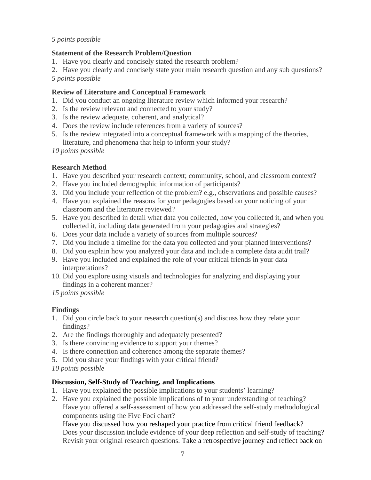### *5 points possible*

## **Statement of the Research Problem/Question**

- 1. Have you clearly and concisely stated the research problem?
- 2. Have you clearly and concisely state your main research question and any sub questions?
- *5 points possible*

## **Review of Literature and Conceptual Framework**

- 1. Did you conduct an ongoing literature review which informed your research?
- 2. Is the review relevant and connected to your study?
- 3. Is the review adequate, coherent, and analytical?
- 4. Does the review include references from a variety of sources?
- 5. Is the review integrated into a conceptual framework with a mapping of the theories, literature, and phenomena that help to inform your study?

*10 points possible* 

## **Research Method**

- 1. Have you described your research context; community, school, and classroom context?
- 2. Have you included demographic information of participants?
- 3. Did you include your reflection of the problem? e.g., observations and possible causes?
- 4. Have you explained the reasons for your pedagogies based on your noticing of your classroom and the literature reviewed?
- 5. Have you described in detail what data you collected, how you collected it, and when you collected it, including data generated from your pedagogies and strategies?
- 6. Does your data include a variety of sources from multiple sources?
- 7. Did you include a timeline for the data you collected and your planned interventions?
- 8. Did you explain how you analyzed your data and include a complete data audit trail?
- 9. Have you included and explained the role of your critical friends in your data interpretations?
- 10. Did you explore using visuals and technologies for analyzing and displaying your findings in a coherent manner?
- *15 points possible*

## **Findings**

- 1. Did you circle back to your research question(s) and discuss how they relate your findings?
- 2. Are the findings thoroughly and adequately presented?
- 3. Is there convincing evidence to support your themes?
- 4. Is there connection and coherence among the separate themes?
- 5. Did you share your findings with your critical friend?
- *10 points possible*

## **Discussion, Self-Study of Teaching, and Implications**

- 1. Have you explained the possible implications to your students' learning?
- 2. Have you explained the possible implications of to your understanding of teaching? Have you offered a self-assessment of how you addressed the self-study methodological components using the Five Foci chart?

Have you discussed how you reshaped your practice from critical friend feedback? Does your discussion include evidence of your deep reflection and self-study of teaching? Revisit your original research questions. Take a retrospective journey and reflect back on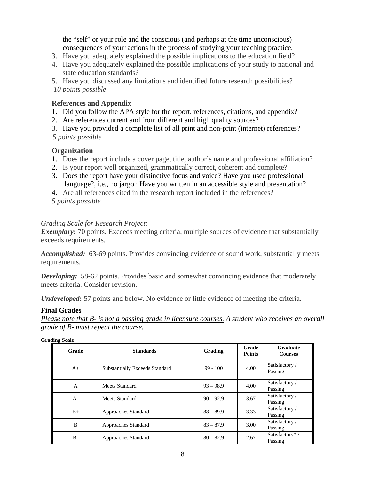the "self" or your role and the conscious (and perhaps at the time unconscious) consequences of your actions in the process of studying your teaching practice.

- 3. Have you adequately explained the possible implications to the education field?
- 4. Have you adequately explained the possible implications of your study to national and state education standards?

5. Have you discussed any limitations and identified future research possibilities?  *10 points possible* 

### **References and Appendix**

- 1. Did you follow the APA style for the report, references, citations, and appendix?
- 2. Are references current and from different and high quality sources?
- 3. Have you provided a complete list of all print and non-print (internet) references?

 *5 points possible* 

### **Organization**

- 1. Does the report include a cover page, title, author's name and professional affiliation?
- 2. Is your report well organized, grammatically correct, coherent and complete?
- 3. Does the report have your distinctive focus and voice? Have you used professional language?, i.e., no jargon Have you written in an accessible style and presentation?
- 4. Are all references cited in the research report included in the references?
- *5 points possible*

### *Grading Scale for Research Project:*

**Exemplary**: 70 points. Exceeds meeting criteria, multiple sources of evidence that substantially exceeds requirements.

*Accomplished:* 63-69 points. Provides convincing evidence of sound work, substantially meets requirements.

**Developing:** 58-62 points. Provides basic and somewhat convincing evidence that moderately meets criteria. Consider revision.

*Undeveloped***:** 57 points and below. No evidence or little evidence of meeting the criteria.

#### **Final Grades**

*Please note that B- is not a passing grade in licensure courses. A student who receives an overall grade of B- must repeat the course.* 

| Grade        | <b>Standards</b>                      | Grading     | Grade<br><b>Points</b> | <b>Graduate</b><br><b>Courses</b> |
|--------------|---------------------------------------|-------------|------------------------|-----------------------------------|
| $A+$         | <b>Substantially Exceeds Standard</b> | $99 - 100$  | 4.00                   | Satisfactory /<br>Passing         |
| $\mathsf{A}$ | Meets Standard                        | $93 - 98.9$ | 4.00                   | Satisfactory /<br>Passing         |
| $A -$        | Meets Standard                        | $90 - 92.9$ | 3.67                   | Satisfactory /<br>Passing         |
| $B+$         | Approaches Standard                   | $88 - 89.9$ | 3.33                   | Satisfactory /<br>Passing         |
| B            | Approaches Standard                   | $83 - 87.9$ | 3.00                   | Satisfactory /<br>Passing         |
| $B-$         | Approaches Standard                   | $80 - 82.9$ | 2.67                   | Satisfactory*/<br>Passing         |

**Grading Scale**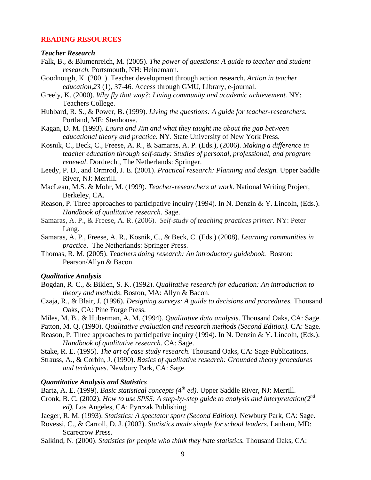#### **READING RESOURCES**

#### *Teacher Research*

- Falk, B., & Blumenreich, M. (2005). *The power of questions: A guide to teacher and student research.* Portsmouth, NH: Heinemann.
- Goodnough, K. (2001). Teacher development through action research. *Action in teacher education,23* (1), 37-46. Access through GMU, Library, e-journal.
- Greely, K. (2000). *Why fly that way?: Living community and academic achievement.* NY: Teachers College.
- Hubbard, R. S., & Power, B. (1999). *Living the questions: A guide for teacher-researchers.*  Portland, ME: Stenhouse.
- Kagan, D. M. (1993). *Laura and Jim and what they taught me about the gap between educational theory and practice.* NY. State University of New York Press.
- Kosnik, C., Beck, C., Freese, A. R., & Samaras, A. P. (Eds.), (2006). *Making a difference in teacher education through self-study: Studies of personal, professional, and program renewal*. Dordrecht, The Netherlands: Springer.
- Leedy, P. D., and Ormrod, J. E. (2001). *Practical research: Planning and design.* Upper Saddle River, NJ: Merrill.
- MacLean, M.S. & Mohr, M. (1999). *Teacher-researchers at work*. National Writing Project, Berkeley, CA.
- Reason, P. Three approaches to participative inquiry (1994). In N. Denzin & Y. Lincoln, (Eds.). *Handbook of qualitative research*. Sage.
- Samaras, A. P., & Freese, A. R. (2006). *Self-study of teaching practices primer.* NY: Peter Lang.
- Samaras, A. P., Freese, A. R., Kosnik, C., & Beck, C. (Eds.) (2008). *Learning communities in practice.* The Netherlands: Springer Press.
- Thomas, R. M. (2005). *Teachers doing research: An introductory guidebook.* Boston: Pearson/Allyn & Bacon.

#### *Qualitative Analysis*

- Bogdan, R. C., & Biklen, S. K. (1992). *Qualitative research for education: An introduction to theory and methods*. Boston, MA: Allyn & Bacon.
- Czaja, R., & Blair, J. (1996). *Designing surveys: A guide to decisions and procedures.* Thousand Oaks, CA: Pine Forge Press.
- Miles, M. B., & Huberman, A. M. (1994). *Qualitative data analysis*. Thousand Oaks, CA: Sage.
- Patton, M. Q. (1990). *Qualitative evaluation and research methods (Second Edition)*. CA: Sage.
- Reason, P. Three approaches to participative inquiry (1994). In N. Denzin & Y. Lincoln, (Eds.). *Handbook of qualitative research*. CA: Sage.

Stake, R. E. (1995). *The art of case study research*. Thousand Oaks, CA: Sage Publications.

Strauss, A., & Corbin, J. (1990). *Basics of qualitative research: Grounded theory procedures and techniques*. Newbury Park, CA: Sage.

#### *Quantitative Analysis and Statistics*

Bartz, A. E. (1999). *Basic statistical concepts (4<sup>th</sup> ed)*. Upper Saddle River, NJ: Merrill.

- Cronk, B. C. (2002). *How to use SPSS: A step-by-step guide to analysis and interpretation(2nd ed).* Los Angeles, CA: Pyrczak Publishing.
- Jaeger, R. M. (1993). *Statistics: A spectator sport (Second Edition).* Newbury Park, CA: Sage.
- Rovessi, C., & Carroll, D. J. (2002). *Statistics made simple for school leaders.* Lanham, MD: Scarecrow Press.
- Salkind, N. (2000). *Statistics for people who think they hate statistics.* Thousand Oaks, CA: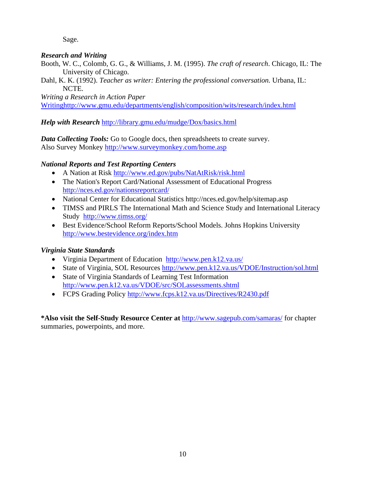Sage.

## *Research and Writing*

- Booth, W. C., Colomb, G. G., & Williams, J. M. (1995). *The craft of research*. Chicago, IL: The University of Chicago.
- Dahl, K. K. (1992). *Teacher as writer: Entering the professional conversation.* Urbana, IL: NCTE.

*Writing a Research in Action Paper* Writinghttp://www.gmu.edu/departments/english/composition/wits/research/index.html

*Help with Research* http://library.gmu.edu/mudge/Dox/basics.html

*Data Collecting Tools:* Go to Google docs, then spreadsheets to create survey. Also Survey Monkey http://www.surveymonkey.com/home.asp

## *National Reports and Test Reporting Centers*

- A Nation at Risk http://www.ed.gov/pubs/NatAtRisk/risk.html
- The Nation's Report Card/National Assessment of Educational Progress http://nces.ed.gov/nationsreportcard/
- National Center for Educational Statistics http://nces.ed.gov/help/sitemap.asp
- TIMSS and PIRLS The International Math and Science Study and International Literacy Study http://www.timss.org/
- Best Evidence/School Reform Reports/School Models. Johns Hopkins University http://www.bestevidence.org/index.htm

## *Virginia State Standards*

- Virginia Department of Education http://www.pen.k12.va.us/
- State of Virginia, SOL Resources http://www.pen.k12.va.us/VDOE/Instruction/sol.html
- State of Virginia Standards of Learning Test Information http://www.pen.k12.va.us/VDOE/src/SOLassessments.shtml
- FCPS Grading Policy http://www.fcps.k12.va.us/Directives/R2430.pdf

**\*Also visit the Self-Study Resource Center at** http://www.sagepub.com/samaras/ for chapter summaries, powerpoints, and more.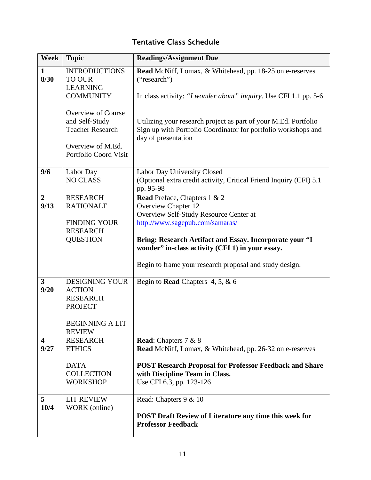# Tentative Class Schedule

| Week                            | <b>Topic</b>                                                                                                         | <b>Readings/Assignment Due</b>                                                                                                                           |
|---------------------------------|----------------------------------------------------------------------------------------------------------------------|----------------------------------------------------------------------------------------------------------------------------------------------------------|
| $\mathbf{1}$<br>8/30            | <b>INTRODUCTIONS</b><br><b>TO OUR</b><br><b>LEARNING</b>                                                             | Read McNiff, Lomax, & Whitehead, pp. 18-25 on e-reserves<br>("research")                                                                                 |
|                                 | <b>COMMUNITY</b>                                                                                                     | In class activity: "I wonder about" inquiry. Use CFI 1.1 pp. 5-6                                                                                         |
|                                 | <b>Overview of Course</b><br>and Self-Study<br><b>Teacher Research</b><br>Overview of M.Ed.<br>Portfolio Coord Visit | Utilizing your research project as part of your M.Ed. Portfolio<br>Sign up with Portfolio Coordinator for portfolio workshops and<br>day of presentation |
| 9/6                             | Labor Day<br><b>NO CLASS</b>                                                                                         | Labor Day University Closed<br>(Optional extra credit activity, Critical Friend Inquiry (CFI) 5.1<br>pp. 95-98                                           |
| $\overline{2}$<br>9/13          | <b>RESEARCH</b><br><b>RATIONALE</b>                                                                                  | Read Preface, Chapters 1 & 2<br><b>Overview Chapter 12</b><br>Overview Self-Study Resource Center at                                                     |
|                                 | <b>FINDING YOUR</b><br><b>RESEARCH</b>                                                                               | http://www.sagepub.com/samaras/                                                                                                                          |
|                                 | <b>QUESTION</b>                                                                                                      | Bring: Research Artifact and Essay. Incorporate your "I<br>wonder" in-class activity (CFI 1) in your essay.                                              |
|                                 |                                                                                                                      | Begin to frame your research proposal and study design.                                                                                                  |
| $\overline{\mathbf{3}}$<br>9/20 | <b>DESIGNING YOUR</b><br><b>ACTION</b><br><b>RESEARCH</b><br><b>PROJECT</b>                                          | Begin to <b>Read</b> Chapters 4, 5, $\&$ 6                                                                                                               |
|                                 | <b>BEGINNING A LIT</b><br><b>REVIEW</b>                                                                              |                                                                                                                                                          |
| $\overline{\mathbf{4}}$<br>9/27 | <b>RESEARCH</b><br><b>ETHICS</b>                                                                                     | <b>Read:</b> Chapters 7 & 8<br>Read McNiff, Lomax, & Whitehead, pp. 26-32 on e-reserves                                                                  |
|                                 | <b>DATA</b><br><b>COLLECTION</b><br><b>WORKSHOP</b>                                                                  | <b>POST Research Proposal for Professor Feedback and Share</b><br>with Discipline Team in Class.<br>Use CFI 6.3, pp. 123-126                             |
| 5<br>10/4                       | <b>LIT REVIEW</b><br>WORK (online)                                                                                   | Read: Chapters 9 & 10<br><b>POST Draft Review of Literature any time this week for</b><br><b>Professor Feedback</b>                                      |